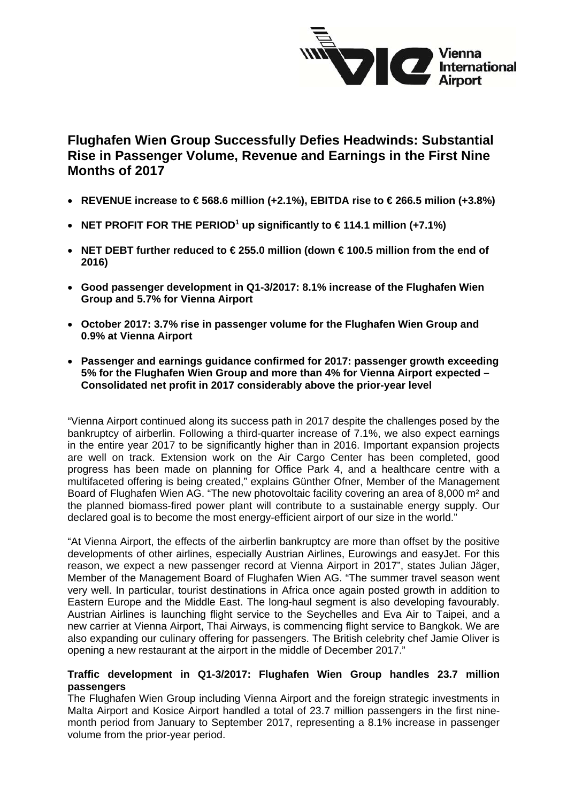

# **Flughafen Wien Group Successfully Defies Headwinds: Substantial Rise in Passenger Volume, Revenue and Earnings in the First Nine Months of 2017**

- **REVENUE increase to € 568.6 million (+2.1%), EBITDA rise to € 266.5 milion (+3.8%)**
- **NET PROFIT FOR THE PERIOD<sup>1</sup> up significantly to**  $\in$  **114.1 million (+7.1%)**
- **NET DEBT further reduced to € 255.0 million (down € 100.5 million from the end of 2016)**
- **Good passenger development in Q1-3/2017: 8.1% increase of the Flughafen Wien Group and 5.7% for Vienna Airport**
- **October 2017: 3.7% rise in passenger volume for the Flughafen Wien Group and 0.9% at Vienna Airport**
- **Passenger and earnings guidance confirmed for 2017: passenger growth exceeding 5% for the Flughafen Wien Group and more than 4% for Vienna Airport expected – Consolidated net profit in 2017 considerably above the prior-year level**

"Vienna Airport continued along its success path in 2017 despite the challenges posed by the bankruptcy of airberlin. Following a third-quarter increase of 7.1%, we also expect earnings in the entire year 2017 to be significantly higher than in 2016. Important expansion projects are well on track. Extension work on the Air Cargo Center has been completed, good progress has been made on planning for Office Park 4, and a healthcare centre with a multifaceted offering is being created," explains Günther Ofner, Member of the Management Board of Flughafen Wien AG. "The new photovoltaic facility covering an area of 8,000 m² and the planned biomass-fired power plant will contribute to a sustainable energy supply. Our declared goal is to become the most energy-efficient airport of our size in the world."

"At Vienna Airport, the effects of the airberlin bankruptcy are more than offset by the positive developments of other airlines, especially Austrian Airlines, Eurowings and easyJet. For this reason, we expect a new passenger record at Vienna Airport in 2017", states Julian Jäger, Member of the Management Board of Flughafen Wien AG. "The summer travel season went very well. In particular, tourist destinations in Africa once again posted growth in addition to Eastern Europe and the Middle East. The long-haul segment is also developing favourably. Austrian Airlines is launching flight service to the Seychelles and Eva Air to Taipei, and a new carrier at Vienna Airport, Thai Airways, is commencing flight service to Bangkok. We are also expanding our culinary offering for passengers. The British celebrity chef Jamie Oliver is opening a new restaurant at the airport in the middle of December 2017."

#### **Traffic development in Q1-3/2017: Flughafen Wien Group handles 23.7 million passengers**

The Flughafen Wien Group including Vienna Airport and the foreign strategic investments in Malta Airport and Kosice Airport handled a total of 23.7 million passengers in the first ninemonth period from January to September 2017, representing a 8.1% increase in passenger volume from the prior-year period.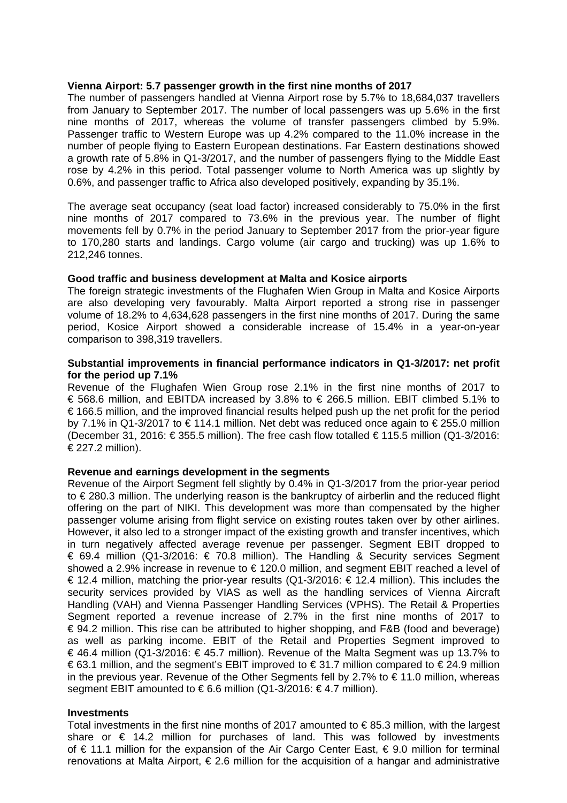#### **Vienna Airport: 5.7 passenger growth in the first nine months of 2017**

The number of passengers handled at Vienna Airport rose by 5.7% to 18,684,037 travellers from January to September 2017. The number of local passengers was up 5.6% in the first nine months of 2017, whereas the volume of transfer passengers climbed by 5.9%. Passenger traffic to Western Europe was up 4.2% compared to the 11.0% increase in the number of people flying to Eastern European destinations. Far Eastern destinations showed a growth rate of 5.8% in Q1-3/2017, and the number of passengers flying to the Middle East rose by 4.2% in this period. Total passenger volume to North America was up slightly by 0.6%, and passenger traffic to Africa also developed positively, expanding by 35.1%.

The average seat occupancy (seat load factor) increased considerably to 75.0% in the first nine months of 2017 compared to 73.6% in the previous year. The number of flight movements fell by 0.7% in the period January to September 2017 from the prior-year figure to 170,280 starts and landings. Cargo volume (air cargo and trucking) was up 1.6% to 212,246 tonnes.

#### **Good traffic and business development at Malta and Kosice airports**

The foreign strategic investments of the Flughafen Wien Group in Malta and Kosice Airports are also developing very favourably. Malta Airport reported a strong rise in passenger volume of 18.2% to 4,634,628 passengers in the first nine months of 2017. During the same period, Kosice Airport showed a considerable increase of 15.4% in a year-on-year comparison to 398,319 travellers.

#### **Substantial improvements in financial performance indicators in Q1-3/2017: net profit for the period up 7.1%**

Revenue of the Flughafen Wien Group rose 2.1% in the first nine months of 2017 to € 568.6 million, and EBITDA increased by 3.8% to € 266.5 million. EBIT climbed 5.1% to € 166.5 million, and the improved financial results helped push up the net profit for the period by 7.1% in Q1-3/2017 to € 114.1 million. Net debt was reduced once again to € 255.0 million (December 31, 2016: €355.5 million). The free cash flow totalled €115.5 million (Q1-3/2016: € 227.2 million).

#### **Revenue and earnings development in the segments**

Revenue of the Airport Segment fell slightly by 0.4% in Q1-3/2017 from the prior-year period to € 280.3 million. The underlying reason is the bankruptcy of airberlin and the reduced flight offering on the part of NIKI. This development was more than compensated by the higher passenger volume arising from flight service on existing routes taken over by other airlines. However, it also led to a stronger impact of the existing growth and transfer incentives, which in turn negatively affected average revenue per passenger. Segment EBIT dropped to € 69.4 million (Q1-3/2016: € 70.8 million). The Handling & Security services Segment showed a 2.9% increase in revenue to € 120.0 million, and segment EBIT reached a level of € 12.4 million, matching the prior-year results (Q1-3/2016: € 12.4 million). This includes the security services provided by VIAS as well as the handling services of Vienna Aircraft Handling (VAH) and Vienna Passenger Handling Services (VPHS). The Retail & Properties Segment reported a revenue increase of 2.7% in the first nine months of 2017 to € 94.2 million. This rise can be attributed to higher shopping, and F&B (food and beverage) as well as parking income. EBIT of the Retail and Properties Segment improved to € 46.4 million (Q1-3/2016: € 45.7 million). Revenue of the Malta Segment was up 13.7% to  $€63.1$  million, and the segment's EBIT improved to  $€31.7$  million compared to  $€24.9$  million in the previous year. Revenue of the Other Segments fell by 2.7% to €11.0 million, whereas segment EBIT amounted to  $\epsilon$  6.6 million (Q1-3/2016:  $\epsilon$  4.7 million).

#### **Investments**

Total investments in the first nine months of 2017 amounted to  $\epsilon$  85.3 million, with the largest share or € 14.2 million for purchases of land. This was followed by investments of € 11.1 million for the expansion of the Air Cargo Center East, € 9.0 million for terminal renovations at Malta Airport, € 2.6 million for the acquisition of a hangar and administrative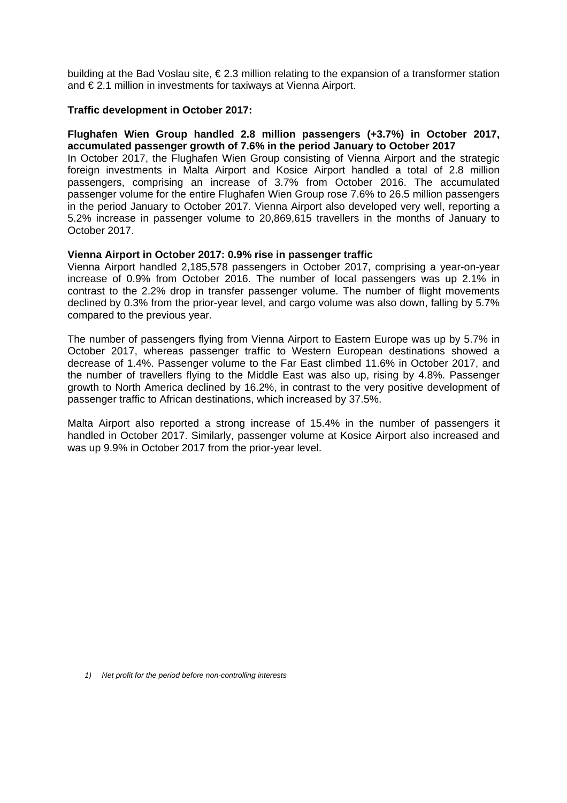building at the Bad Voslau site, € 2.3 million relating to the expansion of a transformer station and € 2.1 million in investments for taxiways at Vienna Airport.

#### **Traffic development in October 2017:**

#### **Flughafen Wien Group handled 2.8 million passengers (+3.7%) in October 2017, accumulated passenger growth of 7.6% in the period January to October 2017**  In October 2017, the Flughafen Wien Group consisting of Vienna Airport and the strategic

foreign investments in Malta Airport and Kosice Airport handled a total of 2.8 million passengers, comprising an increase of 3.7% from October 2016. The accumulated passenger volume for the entire Flughafen Wien Group rose 7.6% to 26.5 million passengers in the period January to October 2017. Vienna Airport also developed very well, reporting a 5.2% increase in passenger volume to 20,869,615 travellers in the months of January to October 2017.

#### **Vienna Airport in October 2017: 0.9% rise in passenger traffic**

Vienna Airport handled 2,185,578 passengers in October 2017, comprising a year-on-year increase of 0.9% from October 2016. The number of local passengers was up 2.1% in contrast to the 2.2% drop in transfer passenger volume. The number of flight movements declined by 0.3% from the prior-year level, and cargo volume was also down, falling by 5.7% compared to the previous year.

The number of passengers flying from Vienna Airport to Eastern Europe was up by 5.7% in October 2017, whereas passenger traffic to Western European destinations showed a decrease of 1.4%. Passenger volume to the Far East climbed 11.6% in October 2017, and the number of travellers flying to the Middle East was also up, rising by 4.8%. Passenger growth to North America declined by 16.2%, in contrast to the very positive development of passenger traffic to African destinations, which increased by 37.5%.

Malta Airport also reported a strong increase of 15.4% in the number of passengers it handled in October 2017. Similarly, passenger volume at Kosice Airport also increased and was up 9.9% in October 2017 from the prior-year level.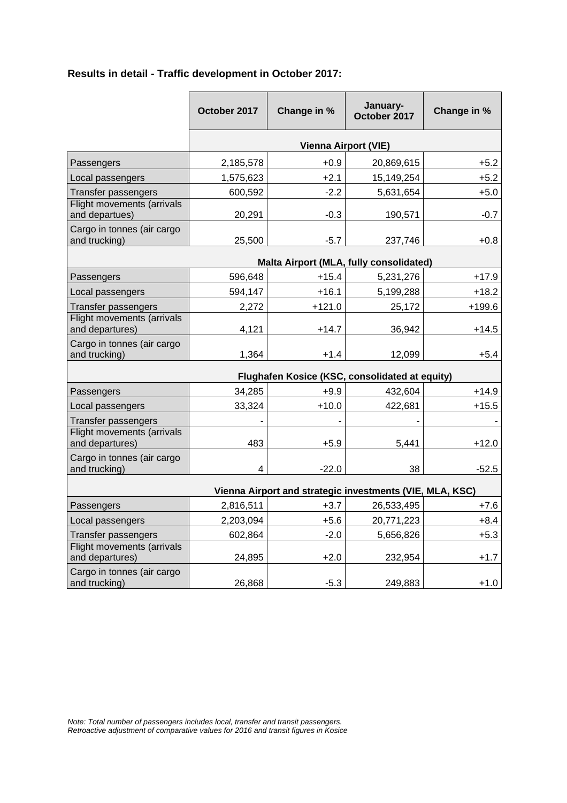| Results in detail - Traffic development in October 2017: |  |
|----------------------------------------------------------|--|
|----------------------------------------------------------|--|

|                                                          | October 2017                | Change in % | January-<br>October 2017                | Change in % |
|----------------------------------------------------------|-----------------------------|-------------|-----------------------------------------|-------------|
|                                                          | <b>Vienna Airport (VIE)</b> |             |                                         |             |
| Passengers                                               | 2,185,578                   | $+0.9$      | 20,869,615                              | $+5.2$      |
| Local passengers                                         | 1,575,623                   | $+2.1$      | 15,149,254                              | $+5.2$      |
| <b>Transfer passengers</b>                               | 600,592                     | $-2.2$      | 5,631,654                               | $+5.0$      |
| Flight movements (arrivals<br>and departues)             | 20,291                      | $-0.3$      | 190,571                                 | $-0.7$      |
| Cargo in tonnes (air cargo<br>and trucking)              | 25,500                      | $-5.7$      | 237,746                                 | $+0.8$      |
|                                                          |                             |             | Malta Airport (MLA, fully consolidated) |             |
| Passengers                                               | 596,648                     | $+15.4$     | 5,231,276                               | $+17.9$     |
| Local passengers                                         | 594,147                     | $+16.1$     | 5,199,288                               | $+18.2$     |
| Transfer passengers                                      | 2,272                       | $+121.0$    | 25,172                                  | $+199.6$    |
| Flight movements (arrivals<br>and departures)            | 4,121                       | $+14.7$     | 36,942                                  | $+14.5$     |
| Cargo in tonnes (air cargo<br>and trucking)              | 1,364                       | $+1.4$      | 12,099                                  | $+5.4$      |
| Flughafen Kosice (KSC, consolidated at equity)           |                             |             |                                         |             |
| Passengers                                               | 34,285                      | $+9.9$      | 432,604                                 | $+14.9$     |
| Local passengers                                         | 33,324                      | $+10.0$     | 422,681                                 | $+15.5$     |
| <b>Transfer passengers</b>                               |                             |             |                                         |             |
| Flight movements (arrivals<br>and departures)            | 483                         | $+5.9$      | 5,441                                   | $+12.0$     |
| Cargo in tonnes (air cargo<br>and trucking)              | 4                           | $-22.0$     | 38                                      | $-52.5$     |
| Vienna Airport and strategic investments (VIE, MLA, KSC) |                             |             |                                         |             |
| Passengers                                               | 2,816,511                   | $+3.7$      | 26,533,495                              | $+7.6$      |
| Local passengers                                         | 2,203,094                   | $+5.6$      | 20,771,223                              | $+8.4$      |
| Transfer passengers                                      | 602,864                     | $-2.0$      | 5,656,826                               | $+5.3$      |
| Flight movements (arrivals<br>and departures)            | 24,895                      | $+2.0$      | 232,954                                 | $+1.7$      |
| Cargo in tonnes (air cargo<br>and trucking)              | 26,868                      | $-5.3$      | 249,883                                 | $+1.0$      |

*Note: Total number of passengers includes local, transfer and transit passengers. Retroactive adjustment of comparative values for 2016 and transit figures in Kosice*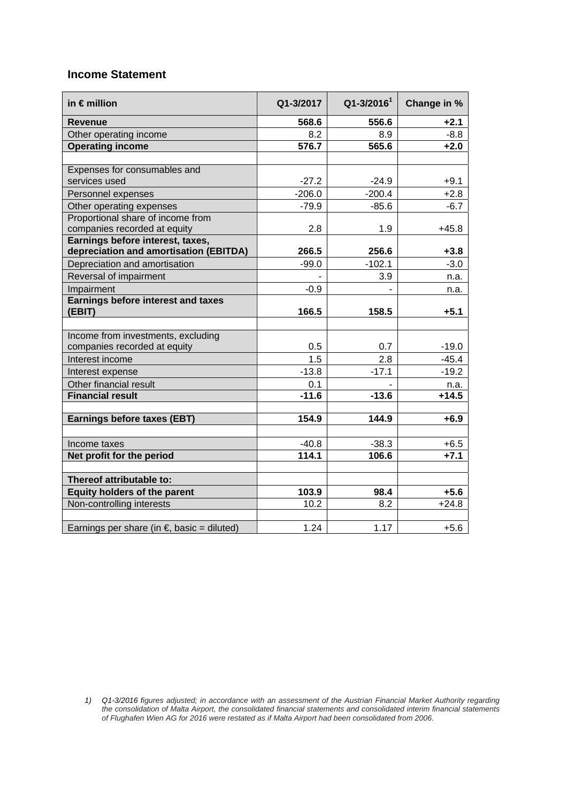## **Income Statement**

| in $\epsilon$ million                                                      | Q1-3/2017 | $Q1 - 3/20161$ | Change in % |
|----------------------------------------------------------------------------|-----------|----------------|-------------|
| <b>Revenue</b>                                                             | 568.6     | 556.6          | $+2.1$      |
| Other operating income                                                     | 8.2       | 8.9            | $-8.8$      |
| <b>Operating income</b>                                                    | 576.7     | 565.6          | $+2.0$      |
|                                                                            |           |                |             |
| Expenses for consumables and                                               |           |                |             |
| services used                                                              | $-27.2$   | $-24.9$        | $+9.1$      |
| Personnel expenses                                                         | $-206.0$  | $-200.4$       | $+2.8$      |
| Other operating expenses                                                   | $-79.9$   | $-85.6$        | $-6.7$      |
| Proportional share of income from                                          |           |                |             |
| companies recorded at equity                                               | 2.8       | 1.9            | $+45.8$     |
| Earnings before interest, taxes,<br>depreciation and amortisation (EBITDA) | 266.5     | 256.6          | $+3.8$      |
| Depreciation and amortisation                                              | $-99.0$   | $-102.1$       | $-3.0$      |
| Reversal of impairment                                                     |           | 3.9            | n.a.        |
| Impairment                                                                 | $-0.9$    |                | n.a.        |
| <b>Earnings before interest and taxes</b>                                  |           |                |             |
| (EBIT)                                                                     | 166.5     | 158.5          | $+5.1$      |
|                                                                            |           |                |             |
| Income from investments, excluding                                         |           |                |             |
| companies recorded at equity                                               | 0.5       | 0.7            | $-19.0$     |
| Interest income                                                            | 1.5       | 2.8            | $-45.4$     |
| Interest expense                                                           | $-13.8$   | $-17.1$        | $-19.2$     |
| Other financial result                                                     | 0.1       |                | n.a.        |
| <b>Financial result</b>                                                    | $-11.6$   | $-13.6$        | $+14.5$     |
|                                                                            |           |                |             |
| <b>Earnings before taxes (EBT)</b>                                         | 154.9     | 144.9          | $+6.9$      |
|                                                                            |           |                |             |
| Income taxes                                                               | $-40.8$   | $-38.3$        | $+6.5$      |
| Net profit for the period                                                  | 114.1     | 106.6          | $+7.1$      |
| Thereof attributable to:                                                   |           |                |             |
| <b>Equity holders of the parent</b>                                        | 103.9     | 98.4           | $+5.6$      |
| Non-controlling interests                                                  | 10.2      | 8.2            | $+24.8$     |
|                                                                            |           |                |             |
| Earnings per share (in $\epsilon$ , basic = diluted)                       | 1.24      | 1.17           | $+5.6$      |

*<sup>1)</sup> Q1-3/2016 figures adjusted; in accordance with an assessment of the Austrian Financial Market Authority regarding the consolidation of Malta Airport, the consolidated financial statements and consolidated interim financial statements of Flughafen Wien AG for 2016 were restated as if Malta Airport had been consolidated from 2006.*